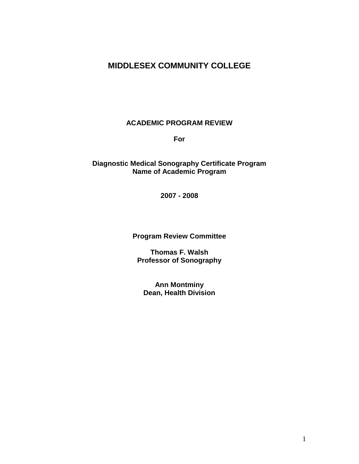# **MIDDLESEX COMMUNITY COLLEGE**

#### **ACADEMIC PROGRAM REVIEW**

**For**

### **Diagnostic Medical Sonography Certificate Program Name of Academic Program**

**2007 - 2008**

**Program Review Committee**

**Thomas F. Walsh Professor of Sonography**

**Ann Montminy Dean, Health Division**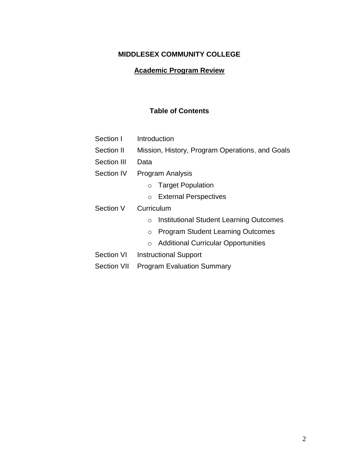# **MIDDLESEX COMMUNITY COLLEGE**

# **Academic Program Review**

# **Table of Contents**

| Section I          | Introduction                                              |  |  |  |
|--------------------|-----------------------------------------------------------|--|--|--|
| Section II         | Mission, History, Program Operations, and Goals           |  |  |  |
| Section III        | Data                                                      |  |  |  |
| Section IV         | Program Analysis                                          |  |  |  |
|                    | <b>Target Population</b><br>$\circ$                       |  |  |  |
|                    | <b>External Perspectives</b><br>$\circ$                   |  |  |  |
| Section V          | Curriculum                                                |  |  |  |
|                    | <b>Institutional Student Learning Outcomes</b><br>$\circ$ |  |  |  |
|                    | <b>Program Student Learning Outcomes</b><br>$\circ$       |  |  |  |
|                    | <b>Additional Curricular Opportunities</b><br>$\circ$     |  |  |  |
| Section VI         | Instructional Support                                     |  |  |  |
| <b>Section VII</b> | <b>Program Evaluation Summary</b>                         |  |  |  |
|                    |                                                           |  |  |  |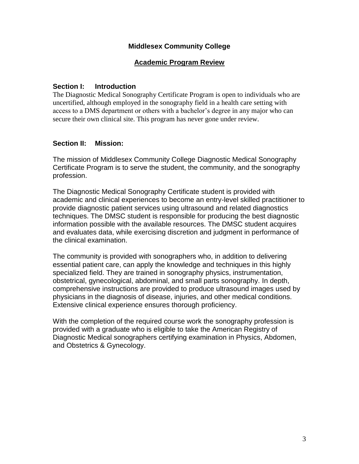### **Middlesex Community College**

# **Academic Program Review**

### **Section I: Introduction**

The Diagnostic Medical Sonography Certificate Program is open to individuals who are uncertified, although employed in the sonography field in a health care setting with access to a DMS department or others with a bachelor's degree in any major who can secure their own clinical site. This program has never gone under review.

#### **Section II: Mission:**

The mission of Middlesex Community College Diagnostic Medical Sonography Certificate Program is to serve the student, the community, and the sonography profession.

The Diagnostic Medical Sonography Certificate student is provided with academic and clinical experiences to become an entry-level skilled practitioner to provide diagnostic patient services using ultrasound and related diagnostics techniques. The DMSC student is responsible for producing the best diagnostic information possible with the available resources. The DMSC student acquires and evaluates data, while exercising discretion and judgment in performance of the clinical examination.

The community is provided with sonographers who, in addition to delivering essential patient care, can apply the knowledge and techniques in this highly specialized field. They are trained in sonography physics, instrumentation, obstetrical, gynecological, abdominal, and small parts sonography. In depth, comprehensive instructions are provided to produce ultrasound images used by physicians in the diagnosis of disease, injuries, and other medical conditions. Extensive clinical experience ensures thorough proficiency.

With the completion of the required course work the sonography profession is provided with a graduate who is eligible to take the American Registry of Diagnostic Medical sonographers certifying examination in Physics, Abdomen, and Obstetrics & Gynecology.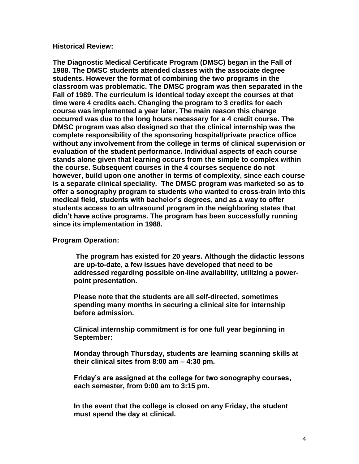#### **Historical Review:**

**The Diagnostic Medical Certificate Program (DMSC) began in the Fall of 1988. The DMSC students attended classes with the associate degree students. However the format of combining the two programs in the classroom was problematic. The DMSC program was then separated in the Fall of 1989. The curriculum is identical today except the courses at that time were 4 credits each. Changing the program to 3 credits for each course was implemented a year later. The main reason this change occurred was due to the long hours necessary for a 4 credit course. The DMSC program was also designed so that the clinical internship was the complete responsibility of the sponsoring hospital/private practice office without any involvement from the college in terms of clinical supervision or evaluation of the student performance. Individual aspects of each course stands alone given that learning occurs from the simple to complex within the course. Subsequent courses in the 4 courses sequence do not however, build upon one another in terms of complexity, since each course is a separate clinical speciality. The DMSC program was marketed so as to offer a sonography program to students who wanted to cross-train into this medical field, students with bachelor's degrees, and as a way to offer students access to an ultrasound program in the neighboring states that didn't have active programs. The program has been successfully running since its implementation in 1988.**

#### **Program Operation:**

**The program has existed for 20 years. Although the didactic lessons are up-to-date, a few issues have developed that need to be addressed regarding possible on-line availability, utilizing a powerpoint presentation.**

**Please note that the students are all self-directed, sometimes spending many months in securing a clinical site for internship before admission.**

**Clinical internship commitment is for one full year beginning in September:**

**Monday through Thursday, students are learning scanning skills at their clinical sites from 8:00 am – 4:30 pm.**

**Friday's are assigned at the college for two sonography courses, each semester, from 9:00 am to 3:15 pm.**

**In the event that the college is closed on any Friday, the student must spend the day at clinical.**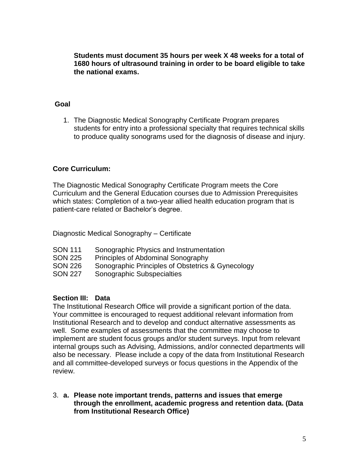**Students must document 35 hours per week X 48 weeks for a total of 1680 hours of ultrasound training in order to be board eligible to take the national exams.**

#### **Goal**

1. The Diagnostic Medical Sonography Certificate Program prepares students for entry into a professional specialty that requires technical skills to produce quality sonograms used for the diagnosis of disease and injury.

#### **Core Curriculum:**

The Diagnostic Medical Sonography Certificate Program meets the Core Curriculum and the General Education courses due to Admission Prerequisites which states: Completion of a two-year allied health education program that is patient-care related or Bachelor"s degree.

Diagnostic Medical Sonography – Certificate

- SON 111 Sonographic Physics and Instrumentation
- SON 225 Principles of Abdominal Sonography
- SON 226 Sonographic Principles of Obstetrics & Gynecology
- SON 227 Sonographic Subspecialties

#### **Section III: Data**

The Institutional Research Office will provide a significant portion of the data. Your committee is encouraged to request additional relevant information from Institutional Research and to develop and conduct alternative assessments as well. Some examples of assessments that the committee may choose to implement are student focus groups and/or student surveys. Input from relevant internal groups such as Advising, Admissions, and/or connected departments will also be necessary. Please include a copy of the data from Institutional Research and all committee-developed surveys or focus questions in the Appendix of the review.

3. **a. Please note important trends, patterns and issues that emerge through the enrollment, academic progress and retention data. (Data from Institutional Research Office)**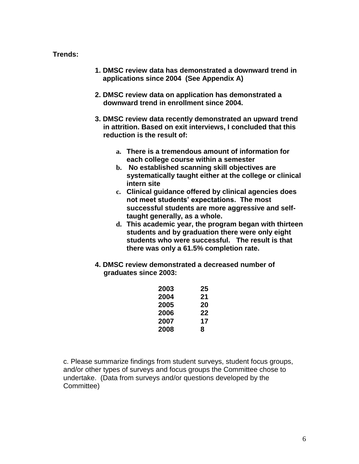### **Trends:**

- **1. DMSC review data has demonstrated a downward trend in applications since 2004 (See Appendix A)**
- **2. DMSC review data on application has demonstrated a downward trend in enrollment since 2004.**
- **3. DMSC review data recently demonstrated an upward trend in attrition. Based on exit interviews, I concluded that this reduction is the result of:**
	- **a. There is a tremendous amount of information for each college course within a semester**
	- **b. No established scanning skill objectives are systematically taught either at the college or clinical intern site**
	- **c. Clinical guidance offered by clinical agencies does not meet students' expectations. The most successful students are more aggressive and selftaught generally, as a whole.**
	- **d. This academic year, the program began with thirteen students and by graduation there were only eight students who were successful. The result is that there was only a 61.5% completion rate.**
- **4. DMSC review demonstrated a decreased number of graduates since 2003:**

| 2003 | 25 |
|------|----|
| 2004 | 21 |
| 2005 | 20 |
| 2006 | 22 |
| 2007 | 17 |
| 2008 | 8  |
|      |    |

c. Please summarize findings from student surveys, student focus groups, and/or other types of surveys and focus groups the Committee chose to undertake. (Data from surveys and/or questions developed by the Committee)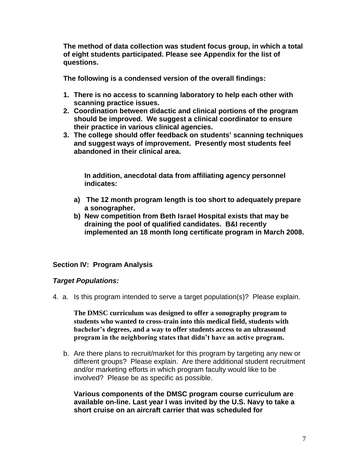**The method of data collection was student focus group, in which a total of eight students participated. Please see Appendix for the list of questions.**

**The following is a condensed version of the overall findings:** 

- **1. There is no access to scanning laboratory to help each other with scanning practice issues.**
- **2. Coordination between didactic and clinical portions of the program should be improved. We suggest a clinical coordinator to ensure their practice in various clinical agencies.**
- **3. The college should offer feedback on students' scanning techniques and suggest ways of improvement. Presently most students feel abandoned in their clinical area.**

**In addition, anecdotal data from affiliating agency personnel indicates:**

- **a) The 12 month program length is too short to adequately prepare a sonographer.**
- **b) New competition from Beth Israel Hospital exists that may be draining the pool of qualified candidates. B&I recently implemented an 18 month long certificate program in March 2008.**

# **Section IV: Program Analysis**

#### *Target Populations:*

4. a. Is this program intended to serve a target population(s)? Please explain.

**The DMSC curriculum was designed to offer a sonography program to students who wanted to cross-train into this medical field, students with bachelor's degrees, and a way to offer students access to an ultrasound program in the neighboring states that didn't have an active program.** 

b. Are there plans to recruit/market for this program by targeting any new or different groups? Please explain. Are there additional student recruitment and/or marketing efforts in which program faculty would like to be involved? Please be as specific as possible.

**Various components of the DMSC program course curriculum are available on-line. Last year I was invited by the U.S. Navy to take a short cruise on an aircraft carrier that was scheduled for**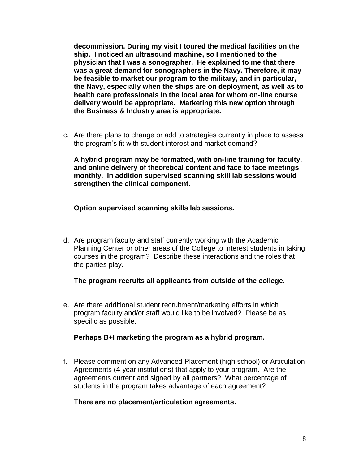**decommission. During my visit I toured the medical facilities on the ship. I noticed an ultrasound machine, so I mentioned to the physician that I was a sonographer. He explained to me that there was a great demand for sonographers in the Navy. Therefore, it may be feasible to market our program to the military, and in particular, the Navy, especially when the ships are on deployment, as well as to health care professionals in the local area for whom on-line course delivery would be appropriate. Marketing this new option through the Business & Industry area is appropriate.**

c. Are there plans to change or add to strategies currently in place to assess the program"s fit with student interest and market demand?

**A hybrid program may be formatted, with on-line training for faculty, and online delivery of theoretical content and face to face meetings monthly. In addition supervised scanning skill lab sessions would strengthen the clinical component.**

**Option supervised scanning skills lab sessions.**

d. Are program faculty and staff currently working with the Academic Planning Center or other areas of the College to interest students in taking courses in the program? Describe these interactions and the roles that the parties play.

**The program recruits all applicants from outside of the college.**

e. Are there additional student recruitment/marketing efforts in which program faculty and/or staff would like to be involved? Please be as specific as possible.

#### **Perhaps B+I marketing the program as a hybrid program.**

f. Please comment on any Advanced Placement (high school) or Articulation Agreements (4-year institutions) that apply to your program. Are the agreements current and signed by all partners? What percentage of students in the program takes advantage of each agreement?

#### **There are no placement/articulation agreements.**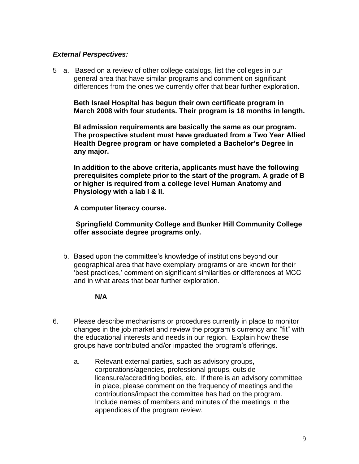## *External Perspectives:*

5 a. Based on a review of other college catalogs, list the colleges in our general area that have similar programs and comment on significant differences from the ones we currently offer that bear further exploration.

**Beth Israel Hospital has begun their own certificate program in March 2008 with four students. Their program is 18 months in length.**

**BI admission requirements are basically the same as our program. The prospective student must have graduated from a Two Year Allied Health Degree program or have completed a Bachelor's Degree in any major.**

**In addition to the above criteria, applicants must have the following prerequisites complete prior to the start of the program. A grade of B or higher is required from a college level Human Anatomy and Physiology with a lab I & II.**

**A computer literacy course.**

**Springfield Community College and Bunker Hill Community College offer associate degree programs only.**

b. Based upon the committee"s knowledge of institutions beyond our geographical area that have exemplary programs or are known for their "best practices," comment on significant similarities or differences at MCC and in what areas that bear further exploration.

#### **N/A**

- 6. Please describe mechanisms or procedures currently in place to monitor changes in the job market and review the program"s currency and "fit" with the educational interests and needs in our region. Explain how these groups have contributed and/or impacted the program"s offerings.
	- a. Relevant external parties, such as advisory groups, corporations/agencies, professional groups, outside licensure/accrediting bodies, etc. If there is an advisory committee in place, please comment on the frequency of meetings and the contributions/impact the committee has had on the program. Include names of members and minutes of the meetings in the appendices of the program review.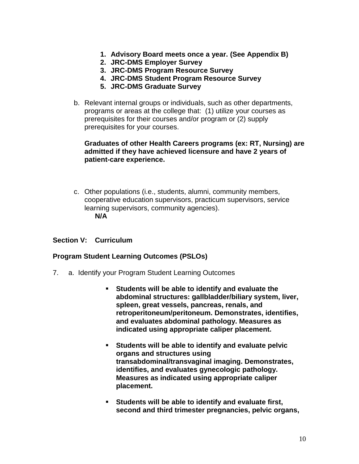- **1. Advisory Board meets once a year. (See Appendix B)**
- **2. JRC-DMS Employer Survey**
- **3. JRC-DMS Program Resource Survey**
- **4. JRC-DMS Student Program Resource Survey**
- **5. JRC-DMS Graduate Survey**
- b. Relevant internal groups or individuals, such as other departments, programs or areas at the college that: (1) utilize your courses as prerequisites for their courses and/or program or (2) supply prerequisites for your courses.

#### **Graduates of other Health Careers programs (ex: RT, Nursing) are admitted if they have achieved licensure and have 2 years of patient-care experience.**

c. Other populations (i.e., students, alumni, community members, cooperative education supervisors, practicum supervisors, service learning supervisors, community agencies). **N/A**

#### **Section V: Curriculum**

#### **Program Student Learning Outcomes (PSLOs)**

- 7. a. Identify your Program Student Learning Outcomes
	- **Students will be able to identify and evaluate the abdominal structures: gallbladder/biliary system, liver, spleen, great vessels, pancreas, renals, and retroperitoneum/peritoneum. Demonstrates, identifies, and evaluates abdominal pathology. Measures as indicated using appropriate caliper placement.**
	- **Students will be able to identify and evaluate pelvic organs and structures using transabdominal/transvaginal imaging. Demonstrates, identifies, and evaluates gynecologic pathology. Measures as indicated using appropriate caliper placement.**
	- **Students will be able to identify and evaluate first, second and third trimester pregnancies, pelvic organs,**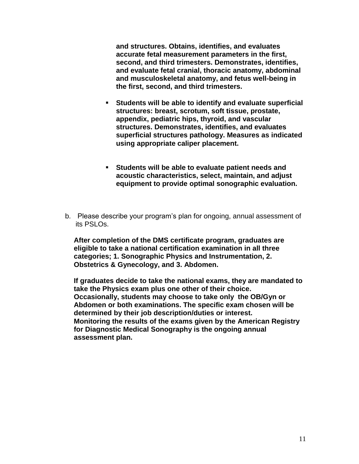**and structures. Obtains, identifies, and evaluates accurate fetal measurement parameters in the first, second, and third trimesters. Demonstrates, identifies, and evaluate fetal cranial, thoracic anatomy, abdominal and musculoskeletal anatomy, and fetus well-being in the first, second, and third trimesters.** 

- **Students will be able to identify and evaluate superficial structures: breast, scrotum, soft tissue, prostate, appendix, pediatric hips, thyroid, and vascular structures. Demonstrates, identifies, and evaluates superficial structures pathology. Measures as indicated using appropriate caliper placement.**
- **Students will be able to evaluate patient needs and acoustic characteristics, select, maintain, and adjust equipment to provide optimal sonographic evaluation.**
- b. Please describe your program"s plan for ongoing, annual assessment of its PSLOs.

**After completion of the DMS certificate program, graduates are eligible to take a national certification examination in all three categories; 1. Sonographic Physics and Instrumentation, 2. Obstetrics & Gynecology, and 3. Abdomen.**

**If graduates decide to take the national exams, they are mandated to take the Physics exam plus one other of their choice. Occasionally, students may choose to take only the OB/Gyn or Abdomen or both examinations. The specific exam chosen will be determined by their job description/duties or interest. Monitoring the results of the exams given by the American Registry for Diagnostic Medical Sonography is the ongoing annual assessment plan.**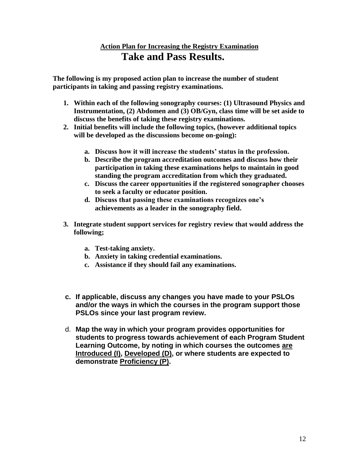# **Action Plan for Increasing the Registry Examination Take and Pass Results.**

**The following is my proposed action plan to increase the number of student participants in taking and passing registry examinations.**

- **1. Within each of the following sonography courses: (1) Ultrasound Physics and Instrumentation, (2) Abdomen and (3) OB/Gyn, class time will be set aside to discuss the benefits of taking these registry examinations.**
- **2. Initial benefits will include the following topics, (however additional topics will be developed as the discussions become on-going):**
	- **a. Discuss how it will increase the students' status in the profession.**
	- **b. Describe the program accreditation outcomes and discuss how their participation in taking these examinations helps to maintain in good standing the program accreditation from which they graduated.**
	- **c. Discuss the career opportunities if the registered sonographer chooses to seek a faculty or educator position.**
	- **d. Discuss that passing these examinations recognizes one's achievements as a leader in the sonography field.**
- **3. Integrate student support services for registry review that would address the following;** 
	- **a. Test-taking anxiety.**
	- **b. Anxiety in taking credential examinations.**
	- **c. Assistance if they should fail any examinations.**
- **c. If applicable, discuss any changes you have made to your PSLOs and/or the ways in which the courses in the program support those PSLOs since your last program review.**
- d. **Map the way in which your program provides opportunities for students to progress towards achievement of each Program Student Learning Outcome, by noting in which courses the outcomes are Introduced (I), Developed (D), or where students are expected to demonstrate Proficiency (P).**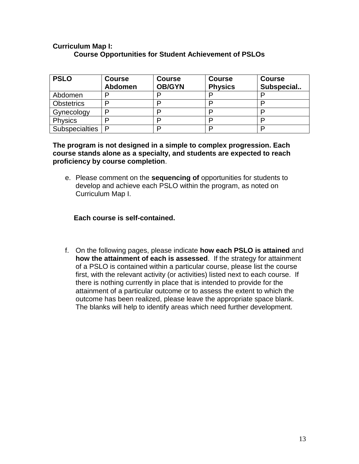#### **Curriculum Map I: Course Opportunities for Student Achievement of PSLOs**

| <b>PSLO</b>           | <b>Course</b><br><b>Abdomen</b> | <b>Course</b><br><b>OB/GYN</b> | <b>Course</b><br><b>Physics</b> | <b>Course</b><br>Subspecial |
|-----------------------|---------------------------------|--------------------------------|---------------------------------|-----------------------------|
| Abdomen               | D                               | D                              |                                 |                             |
| <b>Obstetrics</b>     | D                               |                                |                                 |                             |
| Gynecology            | D                               |                                | D                               |                             |
| <b>Physics</b>        |                                 | D                              | D                               |                             |
| <b>Subspecialties</b> | P                               | n                              | ם                               |                             |

**The program is not designed in a simple to complex progression. Each course stands alone as a specialty, and students are expected to reach proficiency by course completion**.

e. Please comment on the **sequencing of** opportunities for students to develop and achieve each PSLO within the program, as noted on Curriculum Map I.

## **Each course is self-contained.**

f. On the following pages, please indicate **how each PSLO is attained** and **how the attainment of each is assessed**. If the strategy for attainment of a PSLO is contained within a particular course, please list the course first, with the relevant activity (or activities) listed next to each course. If there is nothing currently in place that is intended to provide for the attainment of a particular outcome or to assess the extent to which the outcome has been realized, please leave the appropriate space blank. The blanks will help to identify areas which need further development.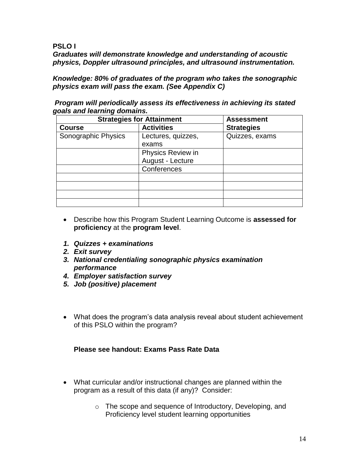### **PSLO I**

*Graduates will demonstrate knowledge and understanding of acoustic physics, Doppler ultrasound principles, and ultrasound instrumentation.*

*Knowledge: 80% of graduates of the program who takes the sonographic physics exam will pass the exam. (See Appendix C)*

*Program will periodically assess its effectiveness in achieving its stated goals and learning domains.* 

| <b>Strategies for Attainment</b> | <b>Assessment</b>  |                   |
|----------------------------------|--------------------|-------------------|
| <b>Course</b>                    | <b>Activities</b>  | <b>Strategies</b> |
| Sonographic Physics              | Lectures, quizzes, | Quizzes, exams    |
|                                  | exams              |                   |
|                                  | Physics Review in  |                   |
|                                  | August - Lecture   |                   |
|                                  | Conferences        |                   |
|                                  |                    |                   |
|                                  |                    |                   |
|                                  |                    |                   |
|                                  |                    |                   |

- Describe how this Program Student Learning Outcome is **assessed for proficiency** at the **program level**.
- *1. Quizzes + examinations*
- *2. Exit survey*
- *3. National credentialing sonographic physics examination performance*
- *4. Employer satisfaction survey*
- *5. Job (positive) placement*
- What does the program"s data analysis reveal about student achievement of this PSLO within the program?

# **Please see handout: Exams Pass Rate Data**

- What curricular and/or instructional changes are planned within the program as a result of this data (if any)? Consider:
	- o The scope and sequence of Introductory, Developing, and Proficiency level student learning opportunities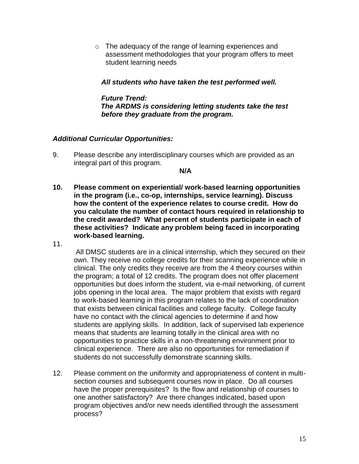o The adequacy of the range of learning experiences and assessment methodologies that your program offers to meet student learning needs

 *All students who have taken the test performed well.* 

 *Future Trend: The ARDMS is considering letting students take the test before they graduate from the program.* 

#### *Additional Curricular Opportunities:*

9. Please describe any interdisciplinary courses which are provided as an integral part of this program.

**N/A** 

- **10. Please comment on experiential/ work-based learning opportunities in the program (i.e., co-op, internships, service learning). Discuss how the content of the experience relates to course credit. How do you calculate the number of contact hours required in relationship to the credit awarded? What percent of students participate in each of these activities? Indicate any problem being faced in incorporating work-based learning.**
- 11.

 All DMSC students are in a clinical internship, which they secured on their own. They receive no college credits for their scanning experience while in clinical. The only credits they receive are from the 4 theory courses within the program; a total of 12 credits. The program does not offer placement opportunities but does inform the student, via e-mail networking, of current jobs opening in the local area. The major problem that exists with regard to work-based learning in this program relates to the lack of coordination that exists between clinical facilities and college faculty. College faculty have no contact with the clinical agencies to determine if and how students are applying skills. In addition, lack of supervised lab experience means that students are learning totally in the clinical area with no opportunities to practice skills in a non-threatening environment prior to clinical experience. There are also no opportunities for remediation if students do not successfully demonstrate scanning skills.

12. Please comment on the uniformity and appropriateness of content in multisection courses and subsequent courses now in place. Do all courses have the proper prerequisites? Is the flow and relationship of courses to one another satisfactory? Are there changes indicated, based upon program objectives and/or new needs identified through the assessment process?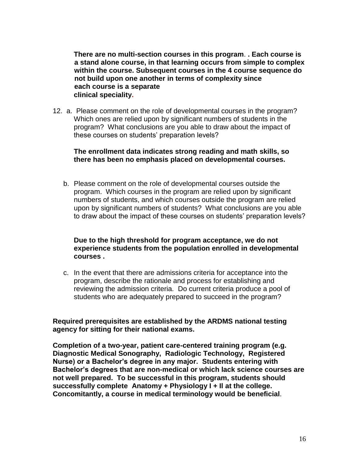**There are no multi-section courses in this program**. **. Each course is a stand alone course, in that learning occurs from simple to complex within the course. Subsequent courses in the 4 course sequence do not build upon one another in terms of complexity since each course is a separate clinical speciality.**

12. a. Please comment on the role of developmental courses in the program? Which ones are relied upon by significant numbers of students in the program? What conclusions are you able to draw about the impact of these courses on students' preparation levels?

#### **The enrollment data indicates strong reading and math skills, so there has been no emphasis placed on developmental courses.**

b. Please comment on the role of developmental courses outside the program. Which courses in the program are relied upon by significant numbers of students, and which courses outside the program are relied upon by significant numbers of students? What conclusions are you able to draw about the impact of these courses on students' preparation levels?

#### **Due to the high threshold for program acceptance, we do not experience students from the population enrolled in developmental courses .**

c. In the event that there are admissions criteria for acceptance into the program, describe the rationale and process for establishing and reviewing the admission criteria. Do current criteria produce a pool of students who are adequately prepared to succeed in the program?

**Required prerequisites are established by the ARDMS national testing agency for sitting for their national exams.**

**Completion of a two-year, patient care-centered training program (e.g. Diagnostic Medical Sonography, Radiologic Technology, Registered Nurse) or a Bachelor's degree in any major. Students entering with Bachelor's degrees that are non-medical or which lack science courses are not well prepared. To be successful in this program, students should successfully complete Anatomy + Physiology I + Il at the college. Concomitantly, a course in medical terminology would be beneficial**.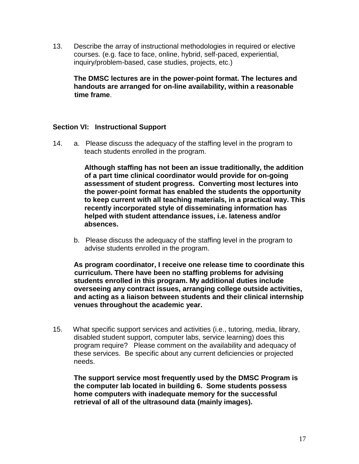13. Describe the array of instructional methodologies in required or elective courses. (e.g. face to face, online, hybrid, self-paced, experiential, inquiry/problem-based, case studies, projects, etc.)

**The DMSC lectures are in the power-point format. The lectures and handouts are arranged for on-line availability, within a reasonable time frame**.

## **Section VI: Instructional Support**

14. a. Please discuss the adequacy of the staffing level in the program to teach students enrolled in the program.

> **Although staffing has not been an issue traditionally, the addition of a part time clinical coordinator would provide for on-going assessment of student progress. Converting most lectures into the power-point format has enabled the students the opportunity to keep current with all teaching materials, in a practical way. This recently incorporated style of disseminating information has helped with student attendance issues, i.e. lateness and/or absences.**

b. Please discuss the adequacy of the staffing level in the program to advise students enrolled in the program.

**As program coordinator, I receive one release time to coordinate this curriculum. There have been no staffing problems for advising students enrolled in this program. My additional duties include overseeing any contract issues, arranging college outside activities, and acting as a liaison between students and their clinical internship venues throughout the academic year.**

15. What specific support services and activities (i.e., tutoring, media, library, disabled student support, computer labs, service learning) does this program require? Please comment on the availability and adequacy of these services. Be specific about any current deficiencies or projected needs.

**The support service most frequently used by the DMSC Program is the computer lab located in building 6. Some students possess home computers with inadequate memory for the successful retrieval of all of the ultrasound data (mainly images).**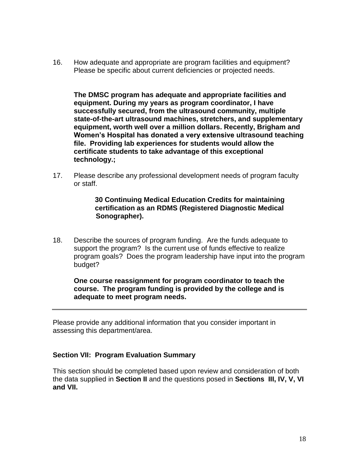16. How adequate and appropriate are program facilities and equipment? Please be specific about current deficiencies or projected needs.

**The DMSC program has adequate and appropriate facilities and equipment. During my years as program coordinator, I have successfully secured, from the ultrasound community, multiple state-of-the-art ultrasound machines, stretchers, and supplementary equipment, worth well over a million dollars. Recently, Brigham and Women's Hospital has donated a very extensive ultrasound teaching file. Providing lab experiences for students would allow the certificate students to take advantage of this exceptional technology.;** 

17. Please describe any professional development needs of program faculty or staff.

### **30 Continuing Medical Education Credits for maintaining certification as an RDMS (Registered Diagnostic Medical Sonographer).**

18. Describe the sources of program funding. Are the funds adequate to support the program? Is the current use of funds effective to realize program goals? Does the program leadership have input into the program budget?

**One course reassignment for program coordinator to teach the course. The program funding is provided by the college and is adequate to meet program needs.** 

Please provide any additional information that you consider important in assessing this department/area.

#### **Section VII: Program Evaluation Summary**

This section should be completed based upon review and consideration of both the data supplied in **Section II** and the questions posed in **Sections III, IV, V, VI and VII.**